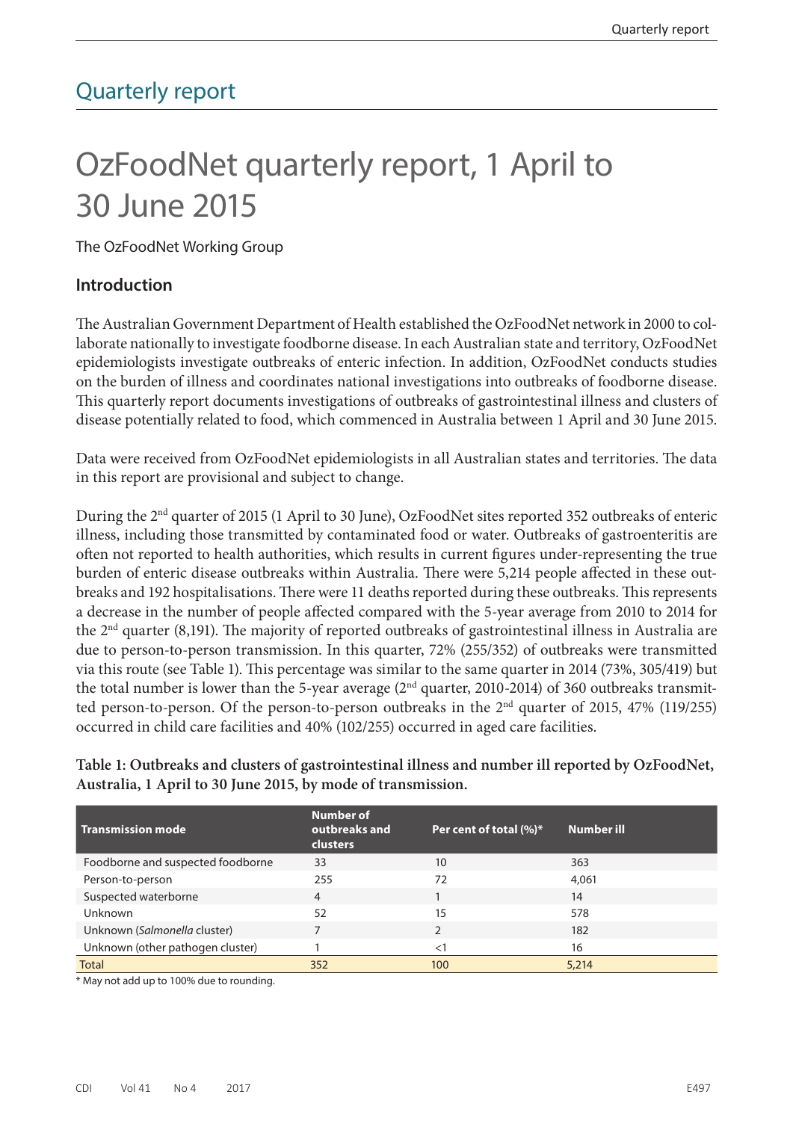## Quarterly report

# OzFoodNet quarterly report, 1 April to 30 June 2015

The OzFoodNet Working Group

#### **Introduction**

The Australian Government Department of Health established the OzFoodNet network in 2000 to collaborate nationally to investigate foodborne disease. In each Australian state and territory, OzFoodNet epidemiologists investigate outbreaks of enteric infection. In addition, OzFoodNet conducts studies on the burden of illness and coordinates national investigations into outbreaks of foodborne disease. This quarterly report documents investigations of outbreaks of gastrointestinal illness and clusters of disease potentially related to food, which commenced in Australia between 1 April and 30 June 2015.

Data were received from OzFoodNet epidemiologists in all Australian states and territories. The data in this report are provisional and subject to change.

During the 2nd quarter of 2015 (1 April to 30 June), OzFoodNet sites reported 352 outbreaks of enteric illness, including those transmitted by contaminated food or water. Outbreaks of gastroenteritis are often not reported to health authorities, which results in current figures under-representing the true burden of enteric disease outbreaks within Australia. There were 5,214 people affected in these outbreaks and 192 hospitalisations. There were 11 deaths reported during these outbreaks. This represents a decrease in the number of people affected compared with the 5-year average from 2010 to 2014 for the  $2<sup>nd</sup>$  quarter (8,191). The majority of reported outbreaks of gastrointestinal illness in Australia are due to person-to-person transmission. In this quarter, 72% (255/352) of outbreaks were transmitted via this route (see Table 1). This percentage was similar to the same quarter in 2014 (73%, 305/419) but the total number is lower than the 5-year average (2<sup>nd</sup> quarter, 2010-2014) of 360 outbreaks transmitted person-to-person. Of the person-to-person outbreaks in the  $2<sup>nd</sup>$  quarter of 2015, 47% (119/255) occurred in child care facilities and 40% (102/255) occurred in aged care facilities.

**Table 1: Outbreaks and clusters of gastrointestinal illness and number ill reported by OzFoodNet, Australia, 1 April to 30 June 2015, by mode of transmission.**

| $\sf I$ Transmission mode         | <b>Number of</b><br>outbreaks and<br><b>clusters</b> | Per cent of total $(\%)^*$ | Number ill |
|-----------------------------------|------------------------------------------------------|----------------------------|------------|
| Foodborne and suspected foodborne | 33                                                   | 10                         | 363        |
| Person-to-person                  | 255                                                  | 72                         | 4,061      |
| Suspected waterborne              | 4                                                    |                            | 14         |
| Unknown                           | 52                                                   | 15                         | 578        |
| Unknown (Salmonella cluster)      |                                                      | $\mathfrak{D}$             | 182        |
| Unknown (other pathogen cluster)  |                                                      | $\lt$                      | 16         |
| <b>Total</b>                      | 352                                                  | 100                        | 5,214      |

\* May not add up to 100% due to rounding.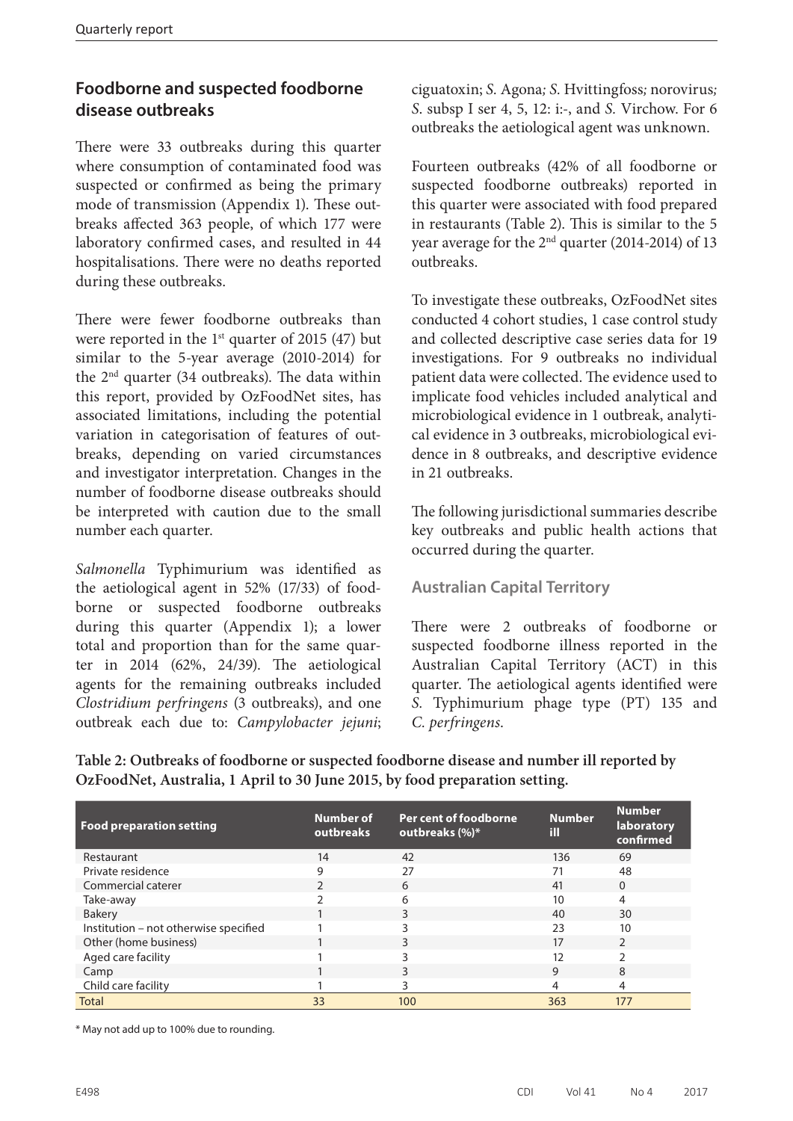## **Foodborne and suspected foodborne disease outbreaks**

There were 33 outbreaks during this quarter where consumption of contaminated food was suspected or confirmed as being the primary mode of transmission (Appendix 1). These outbreaks affected 363 people, of which 177 were laboratory confirmed cases, and resulted in 44 hospitalisations. There were no deaths reported during these outbreaks.

There were fewer foodborne outbreaks than were reported in the  $1<sup>st</sup>$  quarter of 2015 (47) but similar to the 5-year average (2010-2014) for the 2nd quarter (34 outbreaks). The data within this report, provided by OzFoodNet sites, has associated limitations, including the potential variation in categorisation of features of outbreaks, depending on varied circumstances and investigator interpretation. Changes in the number of foodborne disease outbreaks should be interpreted with caution due to the small number each quarter.

*Salmonella* Typhimurium was identified as the aetiological agent in 52% (17/33) of foodborne or suspected foodborne outbreaks during this quarter (Appendix 1); a lower total and proportion than for the same quarter in 2014 (62%, 24/39). The aetiological agents for the remaining outbreaks included *Clostridium perfringens* (3 outbreaks), and one outbreak each due to: *Campylobacter jejuni*; ciguatoxin; *S.* Agona*; S.* Hvittingfoss*;* norovirus*; S*. subsp I ser 4, 5, 12: i:-, and *S.* Virchow. For 6 outbreaks the aetiological agent was unknown.

Fourteen outbreaks (42% of all foodborne or suspected foodborne outbreaks) reported in this quarter were associated with food prepared in restaurants (Table 2). This is similar to the 5 year average for the  $2<sup>nd</sup>$  quarter (2014-2014) of 13 outbreaks.

To investigate these outbreaks, OzFoodNet sites conducted 4 cohort studies, 1 case control study and collected descriptive case series data for 19 investigations. For 9 outbreaks no individual patient data were collected. The evidence used to implicate food vehicles included analytical and microbiological evidence in 1 outbreak, analytical evidence in 3 outbreaks, microbiological evidence in 8 outbreaks, and descriptive evidence in 21 outbreaks.

The following jurisdictional summaries describe key outbreaks and public health actions that occurred during the quarter.

## **Australian Capital Territory**

There were 2 outbreaks of foodborne or suspected foodborne illness reported in the Australian Capital Territory (ACT) in this quarter. The aetiological agents identified were *S.* Typhimurium phage type (PT) 135 and *C. perfringens*.

| <b>Food preparation setting</b>       | <b>Number of</b><br>outbreaks | Per cent of foodborne<br>outbreaks (%)* | <b>Number</b><br>ĦШ | <b>Number</b><br>laboratory<br>confirmed |
|---------------------------------------|-------------------------------|-----------------------------------------|---------------------|------------------------------------------|
| Restaurant                            | 14                            | 42                                      | 136                 | 69                                       |
| Private residence                     | 9                             | 27                                      | 71                  | 48                                       |
| Commercial caterer                    |                               | 6                                       | 41                  | $\Omega$                                 |
| Take-away                             |                               | 6                                       | 10                  | 4                                        |
| <b>Bakery</b>                         |                               | 3                                       | 40                  | 30                                       |
| Institution – not otherwise specified |                               | 3                                       | 23                  | 10                                       |
| Other (home business)                 |                               | 3                                       | 17                  | $\mathfrak{D}$                           |
| Aged care facility                    |                               | ς                                       | 12                  | C.                                       |
| Camp                                  |                               | 3                                       | 9                   | 8                                        |
| Child care facility                   |                               | 3                                       | 4                   | 4                                        |
| <b>Total</b>                          | 33                            | 100                                     | 363                 | 177                                      |

**Table 2: Outbreaks of foodborne or suspected foodborne disease and number ill reported by OzFoodNet, Australia, 1 April to 30 June 2015, by food preparation setting.**

\* May not add up to 100% due to rounding.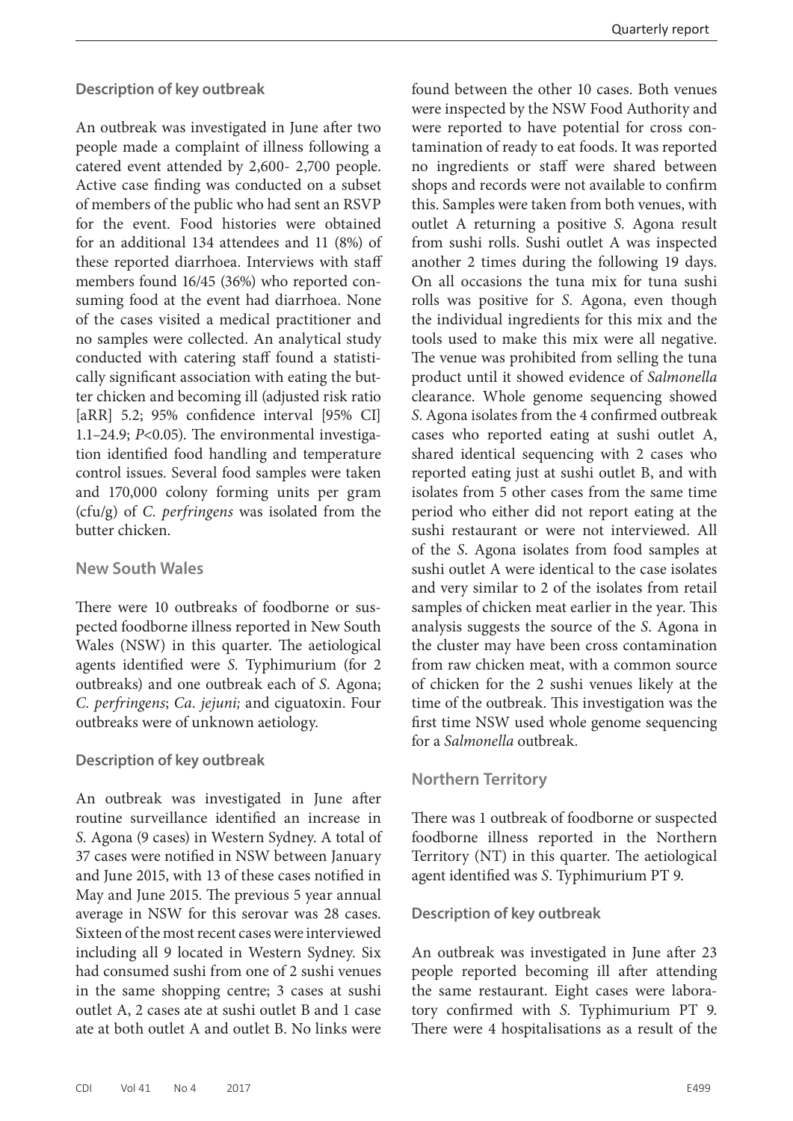**Description of key outbreak**

An outbreak was investigated in June after two people made a complaint of illness following a catered event attended by 2,600- 2,700 people. Active case finding was conducted on a subset of members of the public who had sent an RSVP for the event. Food histories were obtained for an additional 134 attendees and 11 (8%) of these reported diarrhoea. Interviews with staff members found 16/45 (36%) who reported consuming food at the event had diarrhoea. None of the cases visited a medical practitioner and no samples were collected. An analytical study conducted with catering staff found a statistically significant association with eating the butter chicken and becoming ill (adjusted risk ratio [aRR] 5.2; 95% confidence interval [95% CI] 1.1–24.9; *P*<0.05). The environmental investigation identified food handling and temperature control issues. Several food samples were taken and 170,000 colony forming units per gram (cfu/g) of *C. perfringens* was isolated from the butter chicken.

#### **New South Wales**

There were 10 outbreaks of foodborne or suspected foodborne illness reported in New South Wales (NSW) in this quarter. The aetiological agents identified were *S.* Typhimurium (for 2 outbreaks) and one outbreak each of *S.* Agona; *C. perfringens*; *Ca. jejuni;* and ciguatoxin. Four outbreaks were of unknown aetiology.

#### **Description of key outbreak**

An outbreak was investigated in June after routine surveillance identified an increase in *S.* Agona (9 cases) in Western Sydney. A total of 37 cases were notified in NSW between January and June 2015, with 13 of these cases notified in May and June 2015. The previous 5 year annual average in NSW for this serovar was 28 cases. Sixteen of the most recent cases were interviewed including all 9 located in Western Sydney. Six had consumed sushi from one of 2 sushi venues in the same shopping centre; 3 cases at sushi outlet A, 2 cases ate at sushi outlet B and 1 case ate at both outlet A and outlet B. No links were

found between the other 10 cases. Both venues were inspected by the NSW Food Authority and were reported to have potential for cross contamination of ready to eat foods. It was reported no ingredients or staff were shared between shops and records were not available to confirm this. Samples were taken from both venues, with outlet A returning a positive *S.* Agona result from sushi rolls. Sushi outlet A was inspected another 2 times during the following 19 days. On all occasions the tuna mix for tuna sushi rolls was positive for *S.* Agona, even though the individual ingredients for this mix and the tools used to make this mix were all negative. The venue was prohibited from selling the tuna product until it showed evidence of *Salmonella*  clearance. Whole genome sequencing showed *S*. Agona isolates from the 4 confirmed outbreak cases who reported eating at sushi outlet A, shared identical sequencing with 2 cases who reported eating just at sushi outlet B, and with isolates from 5 other cases from the same time period who either did not report eating at the sushi restaurant or were not interviewed. All of the *S*. Agona isolates from food samples at sushi outlet A were identical to the case isolates and very similar to 2 of the isolates from retail samples of chicken meat earlier in the year. This analysis suggests the source of the *S*. Agona in the cluster may have been cross contamination from raw chicken meat, with a common source of chicken for the 2 sushi venues likely at the time of the outbreak. This investigation was the first time NSW used whole genome sequencing for a *Salmonella* outbreak.

#### **Northern Territory**

There was 1 outbreak of foodborne or suspected foodborne illness reported in the Northern Territory (NT) in this quarter. The aetiological agent identified was *S*. Typhimurium PT 9.

#### **Description of key outbreak**

An outbreak was investigated in June after 23 people reported becoming ill after attending the same restaurant. Eight cases were laboratory confirmed with *S*. Typhimurium PT 9. There were 4 hospitalisations as a result of the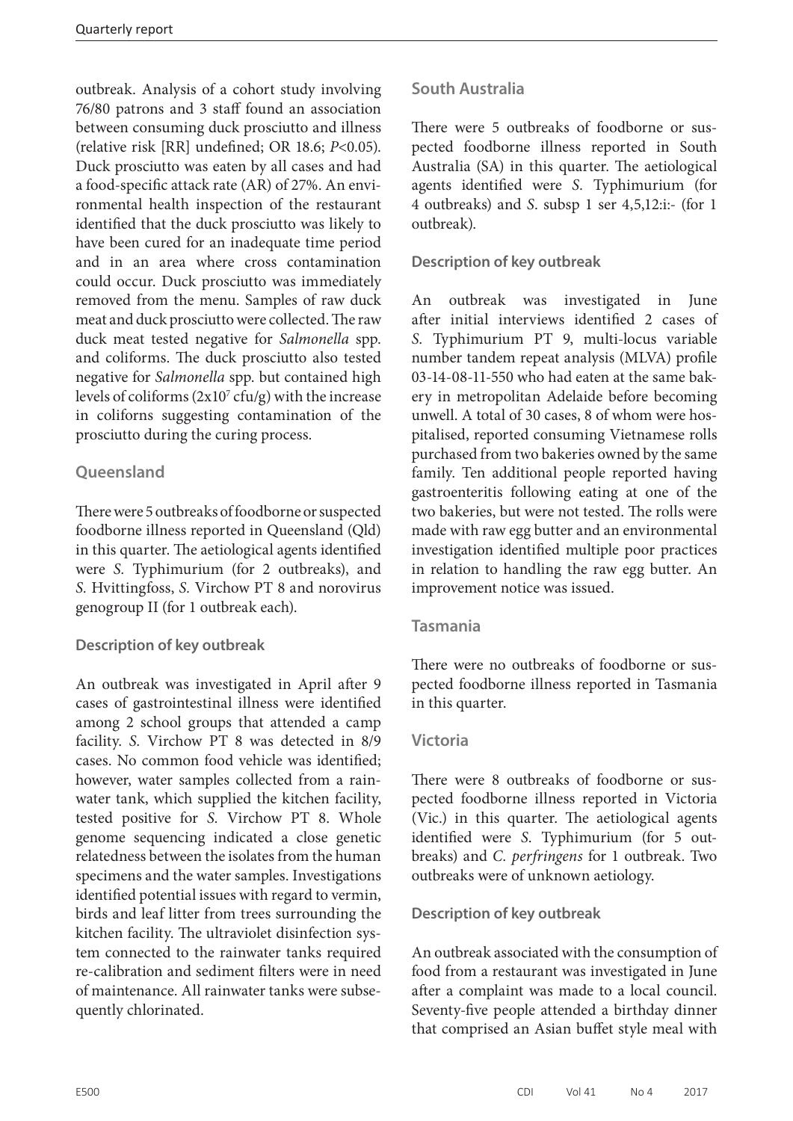outbreak. Analysis of a cohort study involving 76/80 patrons and 3 staff found an association between consuming duck prosciutto and illness (relative risk [RR] undefined; OR 18.6; *P*<0.05). Duck prosciutto was eaten by all cases and had a food-specific attack rate (AR) of 27%. An environmental health inspection of the restaurant identified that the duck prosciutto was likely to have been cured for an inadequate time period and in an area where cross contamination could occur. Duck prosciutto was immediately removed from the menu. Samples of raw duck meat and duck prosciutto were collected. The raw duck meat tested negative for *Salmonella* spp. and coliforms. The duck prosciutto also tested negative for *Salmonella* spp. but contained high levels of coliforms  $(2x10^7 \text{ cfu/g})$  with the increase in coliforns suggesting contamination of the prosciutto during the curing process.

## **Queensland**

There were 5 outbreaks of foodborne or suspected foodborne illness reported in Queensland (Qld) in this quarter. The aetiological agents identified were *S.* Typhimurium (for 2 outbreaks), and *S.* Hvittingfoss, *S.* Virchow PT 8 and norovirus genogroup II (for 1 outbreak each).

### **Description of key outbreak**

An outbreak was investigated in April after 9 cases of gastrointestinal illness were identified among 2 school groups that attended a camp facility. *S.* Virchow PT 8 was detected in 8/9 cases. No common food vehicle was identified; however, water samples collected from a rainwater tank, which supplied the kitchen facility, tested positive for *S.* Virchow PT 8. Whole genome sequencing indicated a close genetic relatedness between the isolates from the human specimens and the water samples. Investigations identified potential issues with regard to vermin, birds and leaf litter from trees surrounding the kitchen facility. The ultraviolet disinfection system connected to the rainwater tanks required re-calibration and sediment filters were in need of maintenance. All rainwater tanks were subsequently chlorinated.

### **South Australia**

There were 5 outbreaks of foodborne or suspected foodborne illness reported in South Australia (SA) in this quarter. The aetiological agents identified were *S.* Typhimurium (for 4 outbreaks) and *S*. subsp 1 ser 4,5,12:i:- (for 1 outbreak).

#### **Description of key outbreak**

An outbreak was investigated in June after initial interviews identified 2 cases of *S.* Typhimurium PT 9, multi-locus variable number tandem repeat analysis (MLVA) profile 03-14-08-11-550 who had eaten at the same bakery in metropolitan Adelaide before becoming unwell. A total of 30 cases, 8 of whom were hospitalised, reported consuming Vietnamese rolls purchased from two bakeries owned by the same family. Ten additional people reported having gastroenteritis following eating at one of the two bakeries, but were not tested. The rolls were made with raw egg butter and an environmental investigation identified multiple poor practices in relation to handling the raw egg butter. An improvement notice was issued.

#### **Tasmania**

There were no outbreaks of foodborne or suspected foodborne illness reported in Tasmania in this quarter.

#### **Victoria**

There were 8 outbreaks of foodborne or suspected foodborne illness reported in Victoria (Vic.) in this quarter. The aetiological agents identified were *S*. Typhimurium (for 5 outbreaks) and *C. perfringens* for 1 outbreak. Two outbreaks were of unknown aetiology.

#### **Description of key outbreak**

An outbreak associated with the consumption of food from a restaurant was investigated in June after a complaint was made to a local council. Seventy-five people attended a birthday dinner that comprised an Asian buffet style meal with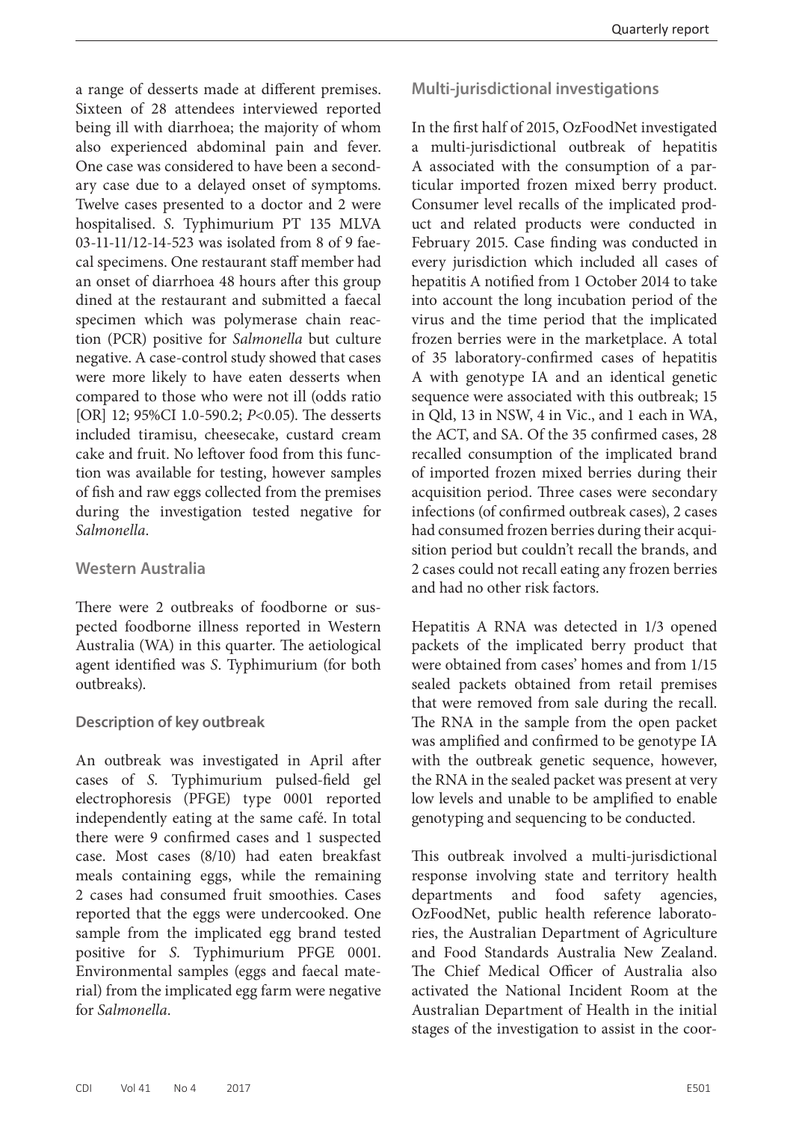a range of desserts made at different premises. Sixteen of 28 attendees interviewed reported being ill with diarrhoea; the majority of whom also experienced abdominal pain and fever. One case was considered to have been a secondary case due to a delayed onset of symptoms. Twelve cases presented to a doctor and 2 were hospitalised. *S.* Typhimurium PT 135 MLVA 03-11-11/12-14-523 was isolated from 8 of 9 faecal specimens. One restaurant staff member had an onset of diarrhoea 48 hours after this group dined at the restaurant and submitted a faecal specimen which was polymerase chain reaction (PCR) positive for *Salmonella* but culture negative. A case-control study showed that cases were more likely to have eaten desserts when compared to those who were not ill (odds ratio [OR] 12; 95%CI 1.0-590.2; *P*<0.05). The desserts included tiramisu, cheesecake, custard cream cake and fruit. No leftover food from this function was available for testing, however samples of fish and raw eggs collected from the premises during the investigation tested negative for *Salmonella*.

#### **Western Australia**

There were 2 outbreaks of foodborne or suspected foodborne illness reported in Western Australia (WA) in this quarter. The aetiological agent identified was *S*. Typhimurium (for both outbreaks).

#### **Description of key outbreak**

An outbreak was investigated in April after cases of *S.* Typhimurium pulsed-field gel electrophoresis (PFGE) type 0001 reported independently eating at the same café. In total there were 9 confirmed cases and 1 suspected case. Most cases (8/10) had eaten breakfast meals containing eggs, while the remaining 2 cases had consumed fruit smoothies. Cases reported that the eggs were undercooked. One sample from the implicated egg brand tested positive for *S.* Typhimurium PFGE 0001. Environmental samples (eggs and faecal material) from the implicated egg farm were negative for *Salmonella*.

#### **Multi-jurisdictional investigations**

In the first half of 2015, OzFoodNet investigated a multi-jurisdictional outbreak of hepatitis A associated with the consumption of a particular imported frozen mixed berry product. Consumer level recalls of the implicated product and related products were conducted in February 2015. Case finding was conducted in every jurisdiction which included all cases of hepatitis A notified from 1 October 2014 to take into account the long incubation period of the virus and the time period that the implicated frozen berries were in the marketplace. A total of 35 laboratory-confirmed cases of hepatitis A with genotype IA and an identical genetic sequence were associated with this outbreak; 15 in Qld, 13 in NSW, 4 in Vic., and 1 each in WA, the ACT, and SA. Of the 35 confirmed cases, 28 recalled consumption of the implicated brand of imported frozen mixed berries during their acquisition period. Three cases were secondary infections (of confirmed outbreak cases), 2 cases had consumed frozen berries during their acquisition period but couldn't recall the brands, and 2 cases could not recall eating any frozen berries and had no other risk factors.

Hepatitis A RNA was detected in 1/3 opened packets of the implicated berry product that were obtained from cases' homes and from 1/15 sealed packets obtained from retail premises that were removed from sale during the recall. The RNA in the sample from the open packet was amplified and confirmed to be genotype IA with the outbreak genetic sequence, however, the RNA in the sealed packet was present at very low levels and unable to be amplified to enable genotyping and sequencing to be conducted.

This outbreak involved a multi-jurisdictional response involving state and territory health departments and food safety agencies, OzFoodNet, public health reference laboratories, the Australian Department of Agriculture and Food Standards Australia New Zealand. The Chief Medical Officer of Australia also activated the National Incident Room at the Australian Department of Health in the initial stages of the investigation to assist in the coor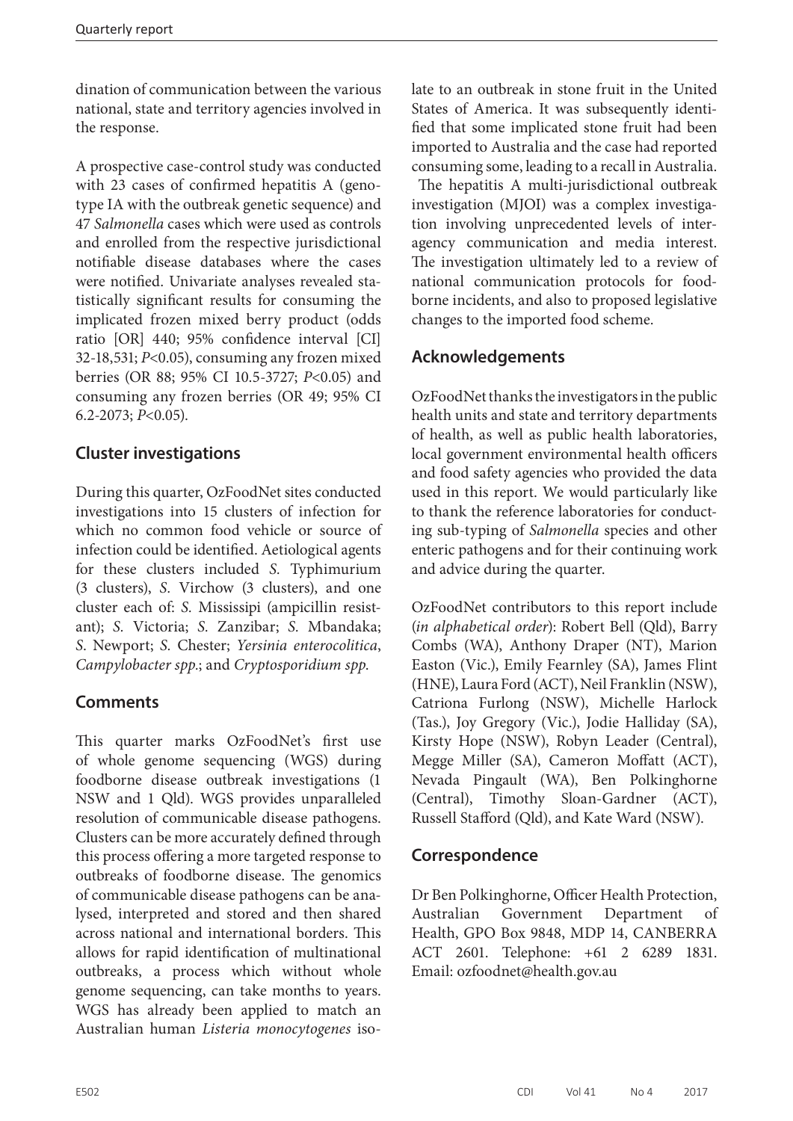dination of communication between the various national, state and territory agencies involved in the response.

A prospective case-control study was conducted with 23 cases of confirmed hepatitis A (genotype IA with the outbreak genetic sequence) and 47 *Salmonella* cases which were used as controls and enrolled from the respective jurisdictional notifiable disease databases where the cases were notified. Univariate analyses revealed statistically significant results for consuming the implicated frozen mixed berry product (odds ratio [OR] 440; 95% confidence interval [CI] 32-18,531; *P*<0.05), consuming any frozen mixed berries (OR 88; 95% CI 10.5-3727; *P*<0.05) and consuming any frozen berries (OR 49; 95% CI 6.2-2073; *P*<0.05).

## **Cluster investigations**

During this quarter, OzFoodNet sites conducted investigations into 15 clusters of infection for which no common food vehicle or source of infection could be identified. Aetiological agents for these clusters included *S.* Typhimurium (3 clusters), *S.* Virchow (3 clusters), and one cluster each of: *S.* Mississipi (ampicillin resistant); *S.* Victoria; *S.* Zanzibar; *S.* Mbandaka; *S*. Newport; *S.* Chester; *Yersinia enterocolitica*, *Campylobacter spp.*; and *Cryptosporidium spp*.

## **Comments**

This quarter marks OzFoodNet's first use of whole genome sequencing (WGS) during foodborne disease outbreak investigations (1 NSW and 1 Qld). WGS provides unparalleled resolution of communicable disease pathogens. Clusters can be more accurately defined through this process offering a more targeted response to outbreaks of foodborne disease. The genomics of communicable disease pathogens can be analysed, interpreted and stored and then shared across national and international borders. This allows for rapid identification of multinational outbreaks, a process which without whole genome sequencing, can take months to years. WGS has already been applied to match an Australian human *Listeria monocytogenes* isolate to an outbreak in stone fruit in the United States of America. It was subsequently identified that some implicated stone fruit had been imported to Australia and the case had reported consuming some, leading to a recall in Australia.

 The hepatitis A multi-jurisdictional outbreak investigation (MJOI) was a complex investigation involving unprecedented levels of interagency communication and media interest. The investigation ultimately led to a review of national communication protocols for foodborne incidents, and also to proposed legislative changes to the imported food scheme.

## **Acknowledgements**

OzFoodNet thanks the investigators in the public health units and state and territory departments of health, as well as public health laboratories, local government environmental health officers and food safety agencies who provided the data used in this report. We would particularly like to thank the reference laboratories for conducting sub-typing of *Salmonella* species and other enteric pathogens and for their continuing work and advice during the quarter.

OzFoodNet contributors to this report include (*in alphabetical order*): Robert Bell (Qld), Barry Combs (WA), Anthony Draper (NT), Marion Easton (Vic.), Emily Fearnley (SA), James Flint (HNE), Laura Ford (ACT), Neil Franklin (NSW), Catriona Furlong (NSW), Michelle Harlock (Tas.), Joy Gregory (Vic.), Jodie Halliday (SA), Kirsty Hope (NSW), Robyn Leader (Central), Megge Miller (SA), Cameron Moffatt (ACT), Nevada Pingault (WA), Ben Polkinghorne (Central), Timothy Sloan-Gardner (ACT), Russell Stafford (Qld), and Kate Ward (NSW).

## **Correspondence**

Dr Ben Polkinghorne, Officer Health Protection, Australian Government Department Health, GPO Box 9848, MDP 14, CANBERRA ACT 2601. Telephone: +61 2 6289 1831. Email: [ozfoodnet@health.gov.au](mailto:ozfoodnet@health.gov.au)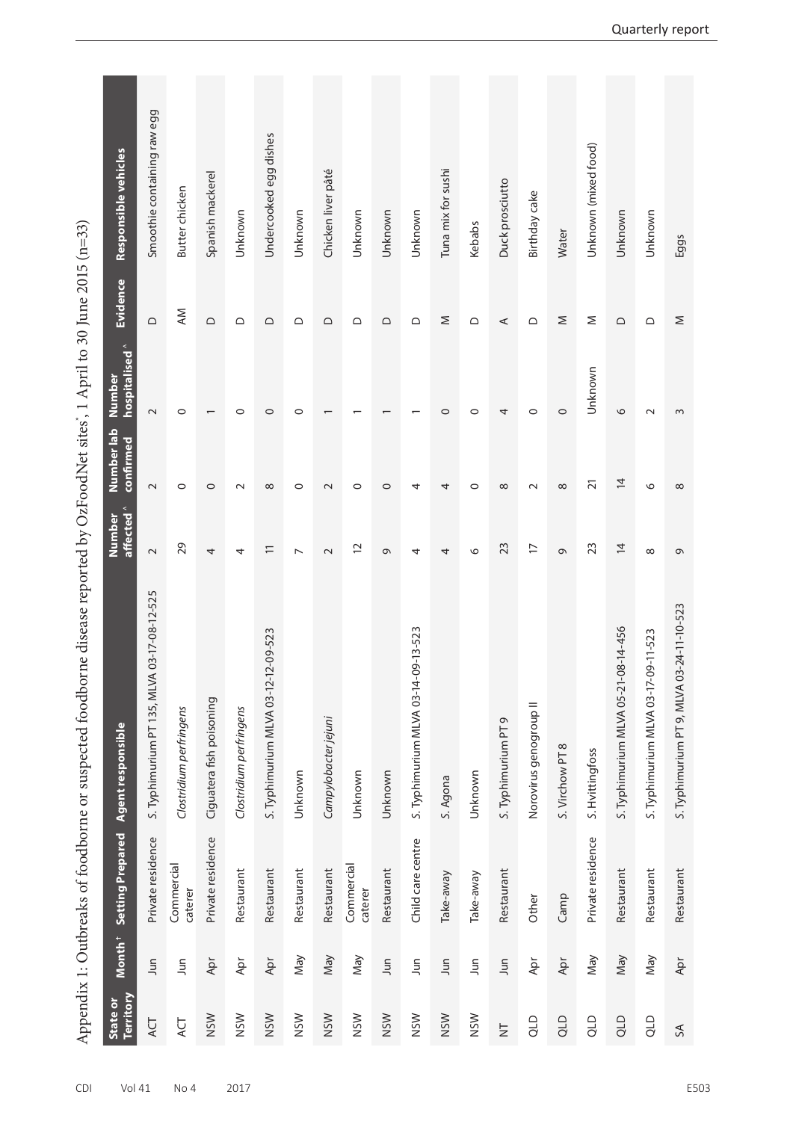|                       |                    |                         | Appendix 1: Outbreaks of foodborne or suspected foodborne disease reported by OzFoodNet sites', 1 April to 30 June 2015 (n=33) |                      |                         |                          |           |                             |
|-----------------------|--------------------|-------------------------|--------------------------------------------------------------------------------------------------------------------------------|----------------------|-------------------------|--------------------------|-----------|-----------------------------|
| Territory<br>State or | Month <sup>+</sup> | <b>Setting Prepared</b> | Agent responsible                                                                                                              | affected ^<br>Number | Number lab<br>confirmed | hospitalised ^<br>Number | Evidence  | Responsible vehicles        |
| ACT                   | Jun                | Private residence       | S. Typhimurium PT 135, MLVA 03-17-08-12-525                                                                                    | $\sim$               | $\sim$                  | $\sim$                   | $\supset$ | Smoothie containing raw egg |
| ACT                   | Jun                | Commercial<br>caterer   | Clostridium perfringens                                                                                                        | 29                   | $\circ$                 | $\circ$                  | <b>AM</b> | Butter chicken              |
| <b>NSW</b>            | Apr                | Private residence       | Ciguatera fish poisoning                                                                                                       | 4                    | $\circ$                 | $\overline{\phantom{0}}$ | $\Omega$  | Spanish mackerel            |
| <b>NSW</b>            | Apr                | Restaurant              | Clostridium perfringens                                                                                                        | 4                    | $\sim$                  | $\circ$                  | ≏         | Unknown                     |
| <b>NSW</b>            | Apr                | Restaurant              | $-12 - 09 - 523$<br>S. Typhimurium MLVA 03-12-                                                                                 | $\equiv$             | $\infty$                | $\circ$                  | ≏         | Undercooked egg dishes      |
| <b>NSW</b>            | Nay                | Restaurant              | Unknown                                                                                                                        | $\overline{ }$       | $\circ$                 | $\circ$                  | ≏         | Unknown                     |
| <b>NSW</b>            | May                | Restaurant              | Campylobacter jejuni                                                                                                           | $\sim$               | $\sim$                  | $\overline{\phantom{0}}$ | $\Omega$  | Chicken liver pâté          |
| <b>NSW</b>            | Nay                | Commercial<br>caterer   | Unknown                                                                                                                        | 12                   | $\circ$                 |                          | ≏         | Unknown                     |
| <b>NSW</b>            | Jun                | Restaurant              | Unknown                                                                                                                        | G                    | $\circ$                 | $\overline{\phantom{0}}$ | $\Omega$  | Unknown                     |
| <b>NSW</b>            | <b>S</b>           | Child care centre       | 09-13-523<br>S. Typhimurium MLVA 03-14-                                                                                        | 4                    | 4                       |                          | ≏         | Unknown                     |
| <b>NSW</b>            | Jun                | Take-away               | S. Agona                                                                                                                       | 4                    | 4                       | $\circ$                  | Σ         | Tuna mix for sushi          |
| <b>NSW</b>            | Jun                | Take-away               | Unknown                                                                                                                        | $\circ$              | $\circ$                 | $\circ$                  | ≏         | Kebabs                      |
| $\overline{z}$        | Jun                | Restaurant              | S. Typhimurium PT 9                                                                                                            | 23                   | $\infty$                | 4                        | ⋖         | Duck prosciutto             |
| qTD                   | Apr                | Other                   | Norovirus genogroup II                                                                                                         | $\overline{1}$       | $\sim$                  | $\circ$                  | $\supset$ | Birthday cake               |
| QLD                   | Apr                | Camp                    | S. Virchow PT 8                                                                                                                | $\sigma$             | $\infty$                | $\circ$                  | Σ         | Water                       |
| QLD                   | Nay                | Private residence       | S. Hvittingfoss                                                                                                                | 23                   | $\overline{2}1$         | Unknown                  | Σ         | Unknown (mixed food)        |
| QLD                   | Nay                | Restaurant              | S. Typhimurium MLVA 05-21-08-14-456                                                                                            | $\overline{4}$       | $\overline{4}$          | 6                        | ≏         | Unknown                     |
| qTD                   | May                | Restaurant              | S. Typhimurium MLVA 03-17-09-11-523                                                                                            | $\infty$             | $\circ$                 | $\sim$                   | ≏         | Unknown                     |
| $\lesssim$            | Apr                | Restaurant              | S. Typhimurium PT 9, MLVA 03-24-11-10-523                                                                                      | $\sigma$             | $\infty$                | $\sim$                   | $\geq$    | Eggs                        |

Amendix 1: Outbreaks of foodhorne or suspected foodhorne disease reported by OzFoodNet sites. 1 April to 30 June 2015 (n=33)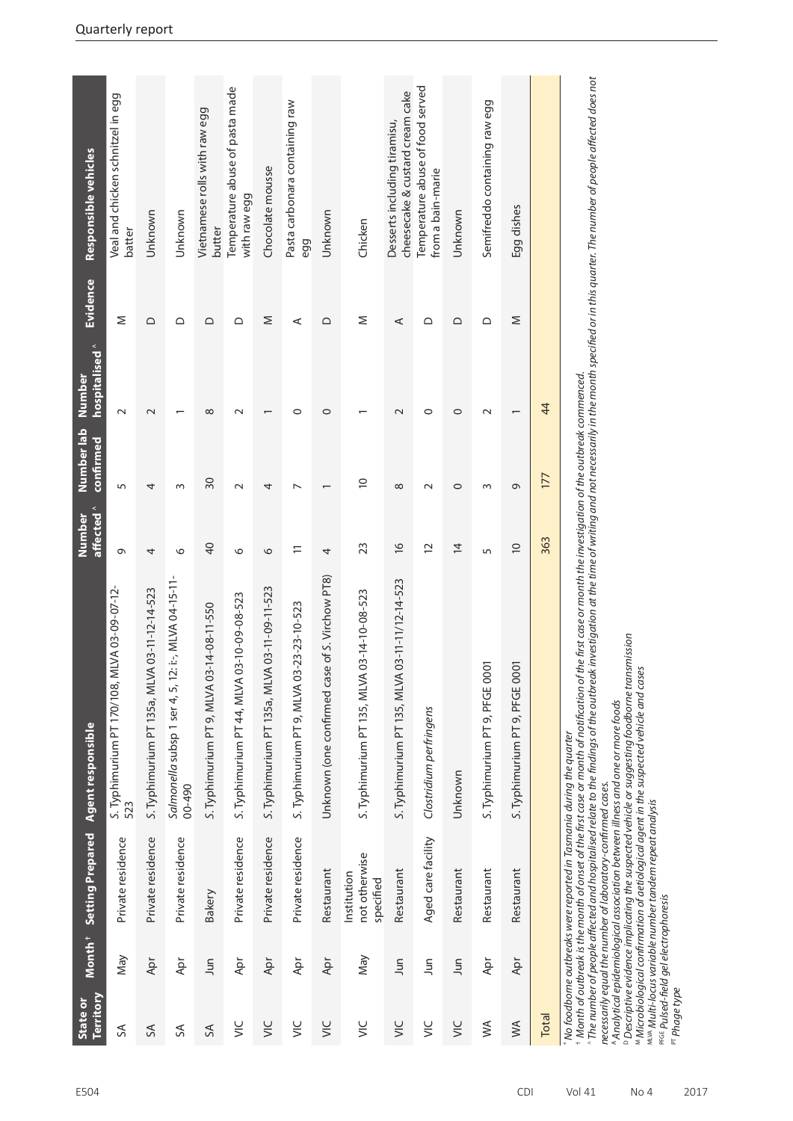| Territory<br>State or                                      | Month <sup>+</sup> | Setting Prepared                                                                                                                                                                              | Agent responsible                                                                                                                                                                                                                                                                                                                                                                                                                                                                                                                                                                                                                                                                                 | affected <sup>^</sup><br>Number | Number lab<br>confirmed  | hospitalised <sup>^</sup><br>Number | Evidence | Responsible vehicles                                            |
|------------------------------------------------------------|--------------------|-----------------------------------------------------------------------------------------------------------------------------------------------------------------------------------------------|---------------------------------------------------------------------------------------------------------------------------------------------------------------------------------------------------------------------------------------------------------------------------------------------------------------------------------------------------------------------------------------------------------------------------------------------------------------------------------------------------------------------------------------------------------------------------------------------------------------------------------------------------------------------------------------------------|---------------------------------|--------------------------|-------------------------------------|----------|-----------------------------------------------------------------|
| $\mathcal{S}$                                              | May                | Private residence                                                                                                                                                                             | S. Typhimurium PT 170/108, MLVA 03-09-07-12<br>523                                                                                                                                                                                                                                                                                                                                                                                                                                                                                                                                                                                                                                                | Q                               | 5                        | $\sim$                              | Σ        | Veal and chicken schnitzel in egg<br>batter                     |
| 5A                                                         | Apr                | Private residence                                                                                                                                                                             | S. Typhimurium PT 135a, MLVA 03-11-12-14-523                                                                                                                                                                                                                                                                                                                                                                                                                                                                                                                                                                                                                                                      | 4                               | 4                        | $\mathbf 2$                         | $\Omega$ | Unknown                                                         |
| 5A                                                         | Apr                | Private residence                                                                                                                                                                             | Salmonella subsp 1 ser 4, 5, 12: i:-, MLVA 04-15-11<br>00-490                                                                                                                                                                                                                                                                                                                                                                                                                                                                                                                                                                                                                                     | $\circ$                         | $\sim$                   |                                     | ≏        | Unknown                                                         |
| SA                                                         | Jun                | Bakery                                                                                                                                                                                        | S. Typhimurium PT 9, MLVA 03-14-08-11-550                                                                                                                                                                                                                                                                                                                                                                                                                                                                                                                                                                                                                                                         | $\overline{4}$                  | $\overline{30}$          | $\infty$                            | ≏        | Vietnamese rolls with raw egg<br>butter                         |
| $\leq$                                                     | Apr                | Private residence                                                                                                                                                                             | S. Typhimurium PT 44, MLVA 03-10-09-08-523                                                                                                                                                                                                                                                                                                                                                                                                                                                                                                                                                                                                                                                        | $\circ$                         | $\sim$                   | $\sim$                              | ≏        | Temperature abuse of pasta made<br>with raw egg                 |
| $\leq$                                                     | Apr                | Private residence                                                                                                                                                                             | S. Typhimurium PT 135a, MLVA 03-11-09-11-523                                                                                                                                                                                                                                                                                                                                                                                                                                                                                                                                                                                                                                                      | 0                               | 4                        | $\overline{\phantom{0}}$            | Σ        | Chocolate mousse                                                |
| $\leq$                                                     | Apr                | Private residence                                                                                                                                                                             | S. Typhimurium PT 9, MLVA 03-23-23-10-523                                                                                                                                                                                                                                                                                                                                                                                                                                                                                                                                                                                                                                                         | $\Xi$                           | $\overline{\phantom{0}}$ | $\circ$                             | ⋖        | Pasta carbonara containing raw<br>egg                           |
| <b>SIN</b>                                                 | Apr                | Restaurant                                                                                                                                                                                    | Unknown (one confirmed case of S. Virchow PT8)                                                                                                                                                                                                                                                                                                                                                                                                                                                                                                                                                                                                                                                    | 4                               |                          | $\circ$                             | $\Omega$ | Unknown                                                         |
| $\leq$                                                     | Nay                | not otherwise<br>Institution<br>specified                                                                                                                                                     | 03-14-10-08-523<br>S. Typhimurium PT 135, MLVA                                                                                                                                                                                                                                                                                                                                                                                                                                                                                                                                                                                                                                                    | 23                              | $\overline{0}$           |                                     | Σ        | Chicken                                                         |
| $\leq$                                                     | Jun                | Restaurant                                                                                                                                                                                    | 03-11-11/12-14-523<br>S. Typhimurium PT 135, MLVA                                                                                                                                                                                                                                                                                                                                                                                                                                                                                                                                                                                                                                                 | $\frac{1}{6}$                   | ${}^{\circ}$             | $\sim$                              | ⋖        | cheesecake & custard cream cake<br>Desserts including tiramisu, |
| $\leq$                                                     | Jun                | Aged care facility                                                                                                                                                                            | Clostridium perfringens                                                                                                                                                                                                                                                                                                                                                                                                                                                                                                                                                                                                                                                                           | 12                              | $\sim$                   | $\circ$                             | ≏        | Temperature abuse of food served<br>from a bain-marie           |
| $\leq$                                                     | Jun                | Restaurant                                                                                                                                                                                    | Unknown                                                                                                                                                                                                                                                                                                                                                                                                                                                                                                                                                                                                                                                                                           | $\overline{4}$                  | $\circ$                  | $\circ$                             | $\circ$  | Unknown                                                         |
| $\leq$                                                     | Apr                | Restaurant                                                                                                                                                                                    | $\overline{5}$<br>S. Typhimurium PT 9, PFGE 00                                                                                                                                                                                                                                                                                                                                                                                                                                                                                                                                                                                                                                                    | 5                               | S                        | $\sim$                              | ≏        | Semifreddo containing raw egg                                   |
| $\mathsf{M}\mathsf{A}$                                     | Apr                | Restaurant                                                                                                                                                                                    | $\overline{O}$<br>S. Typhimurium PT 9, PFGE 00                                                                                                                                                                                                                                                                                                                                                                                                                                                                                                                                                                                                                                                    | $\supseteq$                     | G                        |                                     | Σ        | Egg dishes                                                      |
| <b>Total</b>                                               |                    |                                                                                                                                                                                               |                                                                                                                                                                                                                                                                                                                                                                                                                                                                                                                                                                                                                                                                                                   | 363                             | 177                      | 44                                  |          |                                                                 |
| <b>PFGE</b> Pulsed-field gel electrophoresis<br>Phage type |                    | No foodborne outbreaks were reported in Tasmania during the quarter<br>necessarily equal the number of laboratory-confirmed cases.<br>MLVA Multi-locus variable number tandem repeat analysis | ^ The number of people affected and hospitalised relate to the findings of the outbreak investigation at the time of writing and not necessarily in the month specified or in this quarter. The number of people affected does<br>the first case or month the investigation of the outbreak commenced.<br><sup>D</sup> Descriptive evidence implicating the suspected vehicle or suggesting foodborne transmission<br>Microbiological confirmation of aetiological agent in the suspected vehicle and cases<br><sup>+</sup> Month of outbreak is the month of onset of the first case or month of notification of<br>Analytical epidemiological association between illness and one or more foods |                                 |                          |                                     |          |                                                                 |